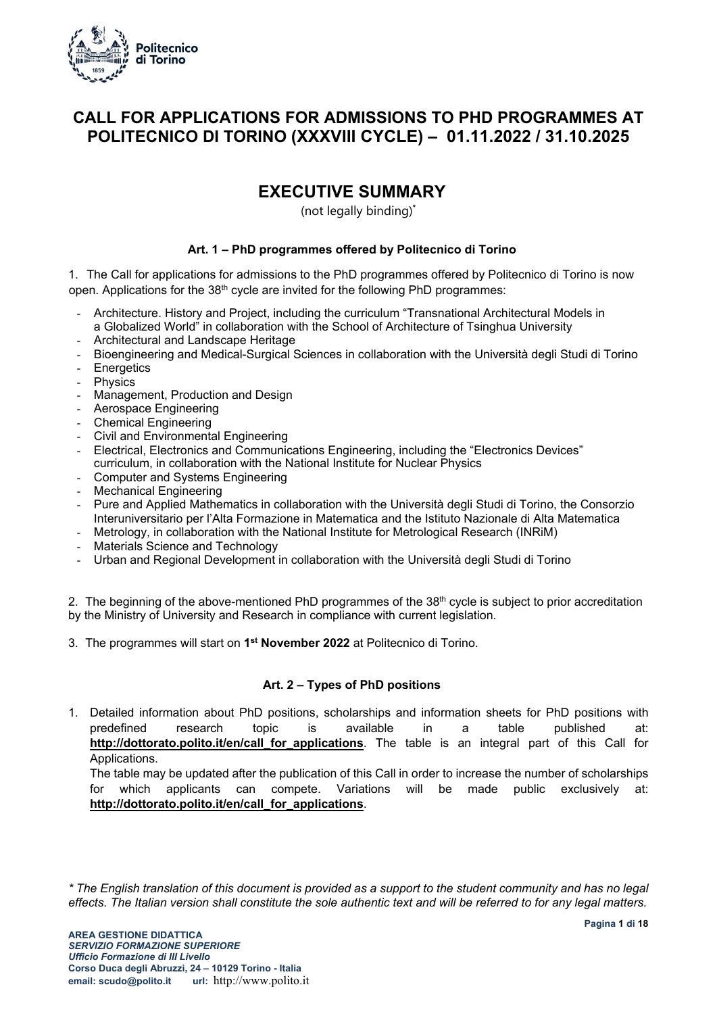

### **CALL FOR APPLICATIONS FOR ADMISSIONS TO PHD PROGRAMMES AT POLITECNICO DI TORINO (XXXVIII CYCLE) – 01.11.2022 / 31.10.2025**

### **EXECUTIVE SUMMARY**

(not legally binding)**\***

### **Art. 1 – PhD programmes offered by Politecnico di Torino**

1. The Call for applications for admissions to the PhD programmes offered by Politecnico di Torino is now open. Applications for the  $38<sup>th</sup>$  cycle are invited for the following PhD programmes:

- Architecture. History and Project, including the curriculum "Transnational Architectural Models in a Globalized World" in collaboration with the School of Architecture of Tsinghua University
- Architectural and Landscape Heritage
- Bioengineering and Medical-Surgical Sciences in collaboration with the Università degli Studi di Torino
- Energetics
- Physics
- Management, Production and Design
- Aerospace Engineering
- Chemical Engineering
- Civil and Environmental Engineering
- Electrical, Electronics and Communications Engineering, including the "Electronics Devices" curriculum, in collaboration with the National Institute for Nuclear Physics
- Computer and Systems Engineering
- Mechanical Engineering
- Pure and Applied Mathematics in collaboration with the Università degli Studi di Torino, the Consorzio Interuniversitario per l'Alta Formazione in Matematica and the Istituto Nazionale di Alta Matematica
- Metrology, in collaboration with the National Institute for Metrological Research (INRiM)
- Materials Science and Technology
- Urban and Regional Development in collaboration with the Università degli Studi di Torino

2. The beginning of the above-mentioned PhD programmes of the 38<sup>th</sup> cycle is subject to prior accreditation by the Ministry of University and Research in compliance with current legislation.

3. The programmes will start on **1st November 2022** at Politecnico di Torino.

### **Art. 2 – Types of PhD positions**

1. Detailed information about PhD positions, scholarships and information sheets for PhD positions with predefined research topic is available in a table published at: http://dottorato.polito.it/en/call for applications. The table is an integral part of this Call for Applications.

The table may be updated after the publication of this Call in order to increase the number of scholarships for which applicants can compete. Variations will be made public exclusively at: **http://dottorato.polito.it/en/call\_for\_applications**.

*\* The English translation of this document is provided as a support to the student community and has no legal effects. The Italian version shall constitute the sole authentic text and will be referred to for any legal matters.*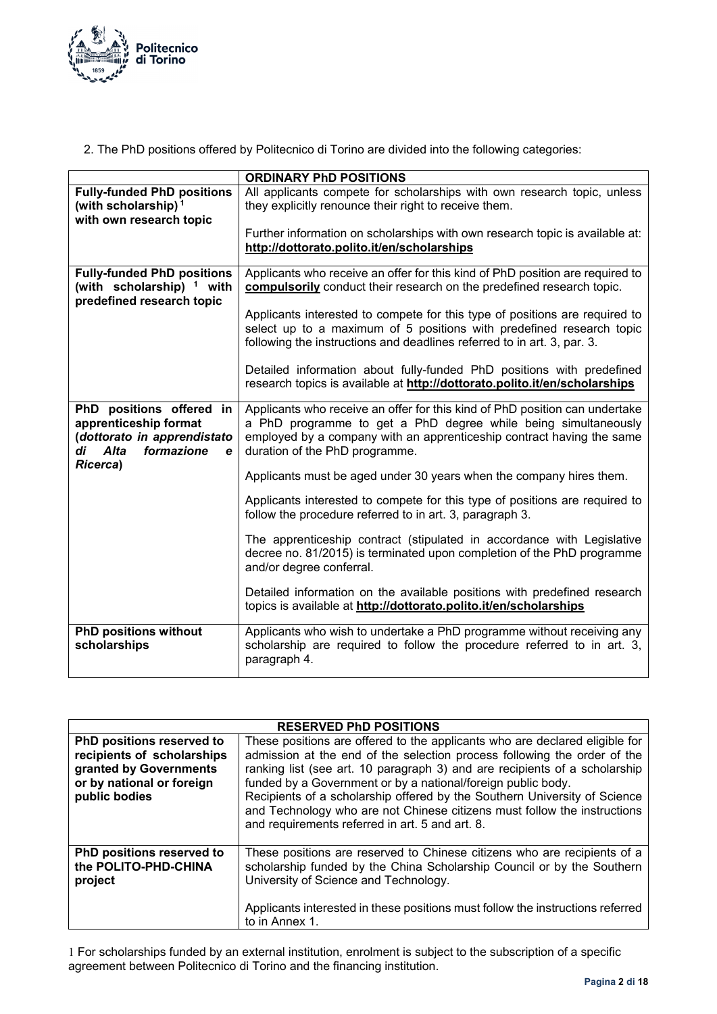

2. The PhD positions offered by Politecnico di Torino are divided into the following categories:

|                                                                                                                                                 | <b>ORDINARY PhD POSITIONS</b>                                                                                                                                                                                                                            |  |  |
|-------------------------------------------------------------------------------------------------------------------------------------------------|----------------------------------------------------------------------------------------------------------------------------------------------------------------------------------------------------------------------------------------------------------|--|--|
| <b>Fully-funded PhD positions</b><br>(with scholarship) <sup>1</sup><br>with own research topic                                                 | All applicants compete for scholarships with own research topic, unless<br>they explicitly renounce their right to receive them.                                                                                                                         |  |  |
|                                                                                                                                                 | Further information on scholarships with own research topic is available at:<br>http://dottorato.polito.it/en/scholarships                                                                                                                               |  |  |
| <b>Fully-funded PhD positions</b><br>(with scholarship) <sup>1</sup> with<br>predefined research topic                                          | Applicants who receive an offer for this kind of PhD position are required to<br>compulsorily conduct their research on the predefined research topic.                                                                                                   |  |  |
|                                                                                                                                                 | Applicants interested to compete for this type of positions are required to<br>select up to a maximum of 5 positions with predefined research topic<br>following the instructions and deadlines referred to in art. 3, par. 3.                           |  |  |
|                                                                                                                                                 | Detailed information about fully-funded PhD positions with predefined<br>research topics is available at http://dottorato.polito.it/en/scholarships                                                                                                      |  |  |
| PhD positions offered in<br>apprenticeship format<br>(dottorato in apprendistato<br>formazione<br>Alta<br>di<br>$\mathbf e$<br><b>Ricerca</b> ) | Applicants who receive an offer for this kind of PhD position can undertake<br>a PhD programme to get a PhD degree while being simultaneously<br>employed by a company with an apprenticeship contract having the same<br>duration of the PhD programme. |  |  |
|                                                                                                                                                 | Applicants must be aged under 30 years when the company hires them.                                                                                                                                                                                      |  |  |
|                                                                                                                                                 | Applicants interested to compete for this type of positions are required to<br>follow the procedure referred to in art. 3, paragraph 3.                                                                                                                  |  |  |
|                                                                                                                                                 | The apprenticeship contract (stipulated in accordance with Legislative<br>decree no. 81/2015) is terminated upon completion of the PhD programme<br>and/or degree conferral.                                                                             |  |  |
|                                                                                                                                                 | Detailed information on the available positions with predefined research<br>topics is available at http://dottorato.polito.it/en/scholarships                                                                                                            |  |  |
| <b>PhD positions without</b><br>scholarships                                                                                                    | Applicants who wish to undertake a PhD programme without receiving any<br>scholarship are required to follow the procedure referred to in art. 3,<br>paragraph 4.                                                                                        |  |  |

| <b>RESERVED PhD POSITIONS</b>                                                                                                   |                                                                                                                                                                                                                                                                                                                                                                                                                                                                                                                   |  |
|---------------------------------------------------------------------------------------------------------------------------------|-------------------------------------------------------------------------------------------------------------------------------------------------------------------------------------------------------------------------------------------------------------------------------------------------------------------------------------------------------------------------------------------------------------------------------------------------------------------------------------------------------------------|--|
| PhD positions reserved to<br>recipients of scholarships<br>granted by Governments<br>or by national or foreign<br>public bodies | These positions are offered to the applicants who are declared eligible for<br>admission at the end of the selection process following the order of the<br>ranking list (see art. 10 paragraph 3) and are recipients of a scholarship<br>funded by a Government or by a national/foreign public body.<br>Recipients of a scholarship offered by the Southern University of Science<br>and Technology who are not Chinese citizens must follow the instructions<br>and requirements referred in art. 5 and art. 8. |  |
| PhD positions reserved to<br>the POLITO-PHD-CHINA<br>project                                                                    | These positions are reserved to Chinese citizens who are recipients of a<br>scholarship funded by the China Scholarship Council or by the Southern<br>University of Science and Technology.<br>Applicants interested in these positions must follow the instructions referred<br>to in Annex 1.                                                                                                                                                                                                                   |  |

1 For scholarships funded by an external institution, enrolment is subject to the subscription of a specific agreement between Politecnico di Torino and the financing institution.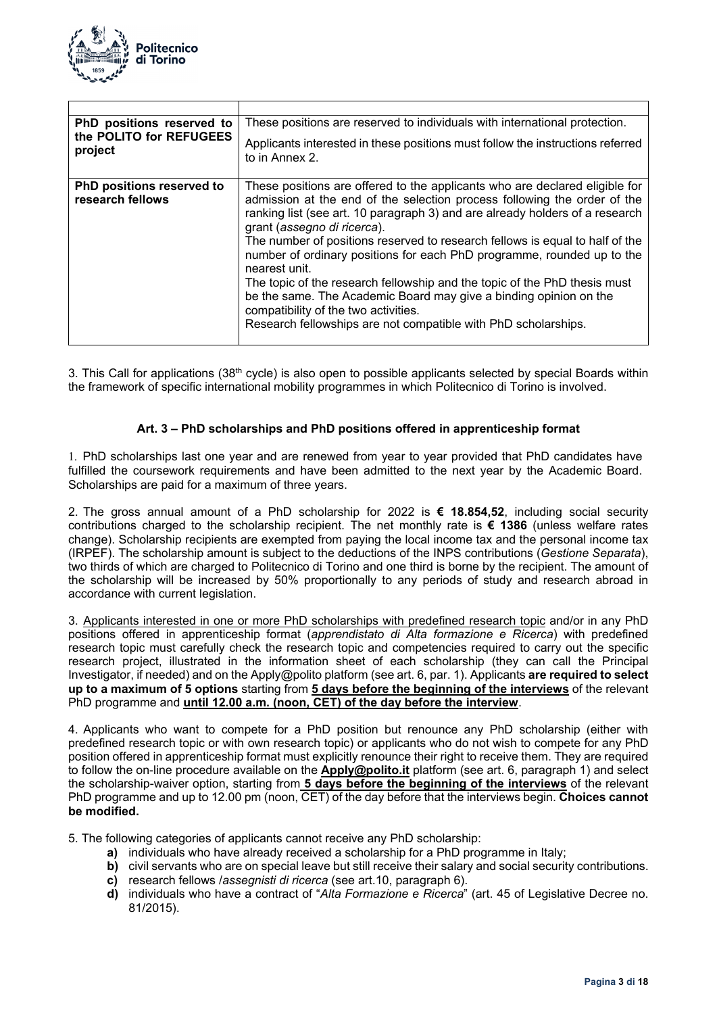

| PhD positions reserved to<br>the POLITO for REFUGEES<br>project | These positions are reserved to individuals with international protection.<br>Applicants interested in these positions must follow the instructions referred<br>to in Annex 2.                                                                                                                                                                                                                                                                                                                                                                                                                                                                                                                                |
|-----------------------------------------------------------------|---------------------------------------------------------------------------------------------------------------------------------------------------------------------------------------------------------------------------------------------------------------------------------------------------------------------------------------------------------------------------------------------------------------------------------------------------------------------------------------------------------------------------------------------------------------------------------------------------------------------------------------------------------------------------------------------------------------|
| PhD positions reserved to<br>research fellows                   | These positions are offered to the applicants who are declared eligible for<br>admission at the end of the selection process following the order of the<br>ranking list (see art. 10 paragraph 3) and are already holders of a research<br>grant (assegno di ricerca).<br>The number of positions reserved to research fellows is equal to half of the<br>number of ordinary positions for each PhD programme, rounded up to the<br>nearest unit.<br>The topic of the research fellowship and the topic of the PhD thesis must<br>be the same. The Academic Board may give a binding opinion on the<br>compatibility of the two activities.<br>Research fellowships are not compatible with PhD scholarships. |

3. This Call for applications (38<sup>th</sup> cycle) is also open to possible applicants selected by special Boards within the framework of specific international mobility programmes in which Politecnico di Torino is involved.

### **Art. 3 – PhD scholarships and PhD positions offered in apprenticeship format**

1. PhD scholarships last one year and are renewed from year to year provided that PhD candidates have fulfilled the coursework requirements and have been admitted to the next year by the Academic Board. Scholarships are paid for a maximum of three years.

2. The gross annual amount of a PhD scholarship for 2022 is **€ 18.854,52**, including social security contributions charged to the scholarship recipient. The net monthly rate is **€ 1386** (unless welfare rates change). Scholarship recipients are exempted from paying the local income tax and the personal income tax (IRPEF). The scholarship amount is subject to the deductions of the INPS contributions (*Gestione Separata*), two thirds of which are charged to Politecnico di Torino and one third is borne by the recipient. The amount of the scholarship will be increased by 50% proportionally to any periods of study and research abroad in accordance with current legislation.

3. Applicants interested in one or more PhD scholarships with predefined research topic and/or in any PhD positions offered in apprenticeship format (*apprendistato di Alta formazione e Ricerca*) with predefined research topic must carefully check the research topic and competencies required to carry out the specific research project, illustrated in the information sheet of each scholarship (they can call the Principal Investigator, if needed) and on the Apply@polito platform (see art. 6, par. 1). Applicants **are required to select up to a maximum of 5 options** starting from **5 days before the beginning of the interviews** of the relevant PhD programme and **until 12.00 a.m. (noon, CET) of the day before the interview**.

4. Applicants who want to compete for a PhD position but renounce any PhD scholarship (either with predefined research topic or with own research topic) or applicants who do not wish to compete for any PhD position offered in apprenticeship format must explicitly renounce their right to receive them. They are required to follow the on-line procedure available on the **Apply@polito.it** platform (see art. 6, paragraph 1) and select the scholarship-waiver option, starting from **5 days before the beginning of the interviews** of the relevant PhD programme and up to 12.00 pm (noon, CET) of the day before that the interviews begin. **Choices cannot be modified.** 

5. The following categories of applicants cannot receive any PhD scholarship:

- **a)** individuals who have already received a scholarship for a PhD programme in Italy;
- **b)** civil servants who are on special leave but still receive their salary and social security contributions.
- **c)** research fellows /*assegnisti di ricerca* (see art.10, paragraph 6).
- **d)** individuals who have a contract of "*Alta Formazione e Ricerca*" (art. 45 of Legislative Decree no. 81/2015).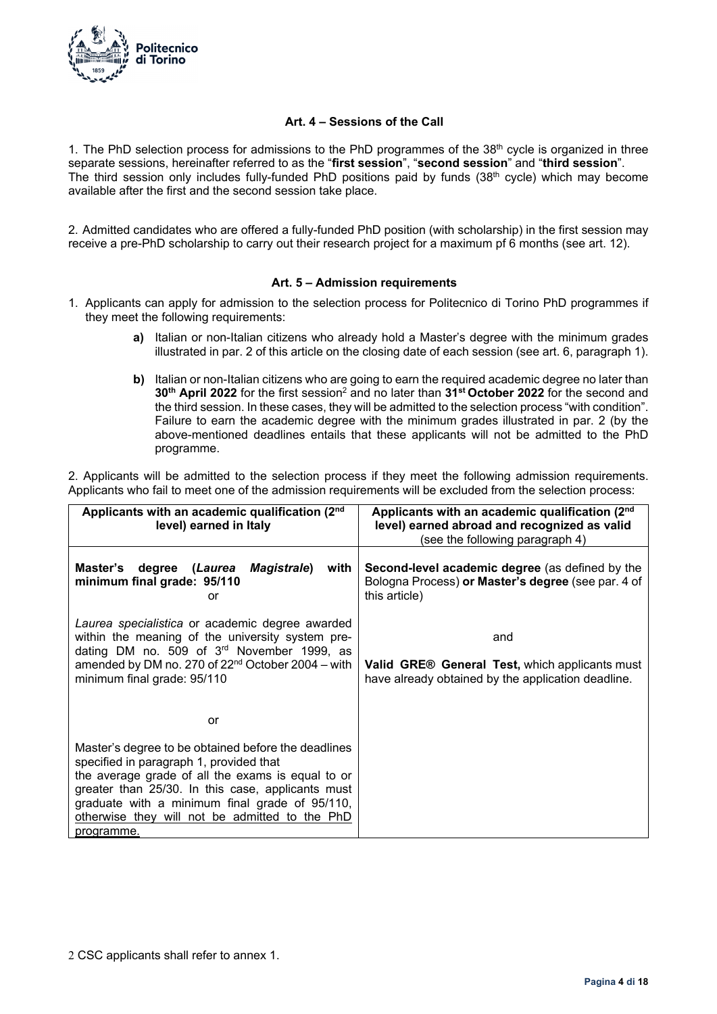

### **Art. 4 – Sessions of the Call**

1. The PhD selection process for admissions to the PhD programmes of the 38<sup>th</sup> cycle is organized in three separate sessions, hereinafter referred to as the "**first session**", "**second session**" and "**third session**". The third session only includes fully-funded PhD positions paid by funds (38<sup>th</sup> cycle) which may become available after the first and the second session take place.

2. Admitted candidates who are offered a fully-funded PhD position (with scholarship) in the first session may receive a pre-PhD scholarship to carry out their research project for a maximum pf 6 months (see art. 12).

### **Art. 5 – Admission requirements**

- 1. Applicants can apply for admission to the selection process for Politecnico di Torino PhD programmes if they meet the following requirements:
	- **a)** Italian or non-Italian citizens who already hold a Master's degree with the minimum grades illustrated in par. 2 of this article on the closing date of each session (see art. 6, paragraph 1).
	- **b)** Italian or non-Italian citizens who are going to earn the required academic degree no later than **30th April 2022** for the first session2 and no later than **31st October 2022** for the second and the third session. In these cases, they will be admitted to the selection process "with condition". Failure to earn the academic degree with the minimum grades illustrated in par. 2 (by the above-mentioned deadlines entails that these applicants will not be admitted to the PhD programme.

2. Applicants will be admitted to the selection process if they meet the following admission requirements. Applicants who fail to meet one of the admission requirements will be excluded from the selection process:

| Applicants with an academic qualification (2nd)<br>level) earned in Italy                                                                                                                                                                                                                                                  | Applicants with an academic qualification (2nd)<br>level) earned abroad and recognized as valid<br>(see the following paragraph 4) |  |
|----------------------------------------------------------------------------------------------------------------------------------------------------------------------------------------------------------------------------------------------------------------------------------------------------------------------------|------------------------------------------------------------------------------------------------------------------------------------|--|
| Master's degree (Laurea<br><b>Magistrale</b> )<br>with<br>minimum final grade: 95/110<br>or                                                                                                                                                                                                                                | <b>Second-level academic degree</b> (as defined by the<br>Bologna Process) or Master's degree (see par. 4 of<br>this article)      |  |
| Laurea specialistica or academic degree awarded<br>within the meaning of the university system pre-<br>dating DM no. 509 of $3rd$ November 1999, as<br>amended by DM no. 270 of $22nd$ October 2004 – with<br>minimum final grade: 95/110                                                                                  | and<br><b>Valid GRE® General Test, which applicants must</b><br>have already obtained by the application deadline.                 |  |
| or                                                                                                                                                                                                                                                                                                                         |                                                                                                                                    |  |
| Master's degree to be obtained before the deadlines<br>specified in paragraph 1, provided that<br>the average grade of all the exams is equal to or<br>greater than 25/30. In this case, applicants must<br>graduate with a minimum final grade of 95/110,<br>otherwise they will not be admitted to the PhD<br>programme. |                                                                                                                                    |  |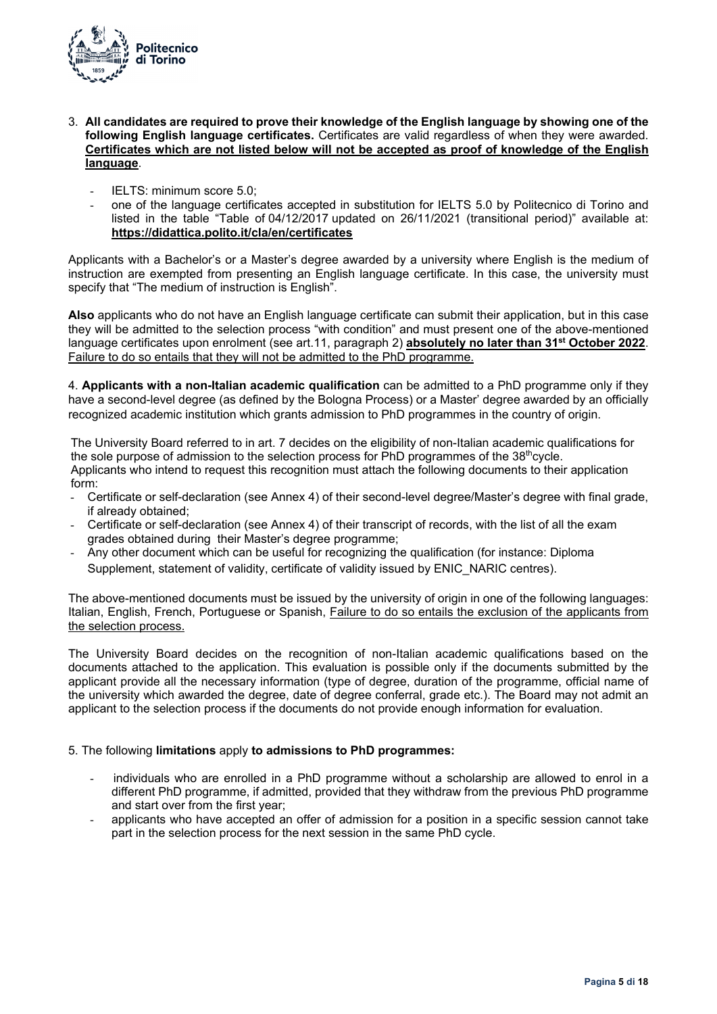

- 3. **All candidates are required to prove their knowledge of the English language by showing one of the following English language certificates.** Certificates are valid regardless of when they were awarded. **Certificates which are not listed below will not be accepted as proof of knowledge of the English language**.
	- IELTS: minimum score 5.0;
	- one of the language certificates accepted in substitution for IELTS 5.0 by Politecnico di Torino and listed in the table "Table of 04/12/2017 updated on 26/11/2021 (transitional period)" available at: **https://didattica.polito.it/cla/en/certificates**

Applicants with a Bachelor's or a Master's degree awarded by a university where English is the medium of instruction are exempted from presenting an English language certificate. In this case, the university must specify that "The medium of instruction is English".

**Also** applicants who do not have an English language certificate can submit their application, but in this case they will be admitted to the selection process "with condition" and must present one of the above-mentioned language certificates upon enrolment (see art.11, paragraph 2) **absolutely no later than 31st October 2022**. Failure to do so entails that they will not be admitted to the PhD programme.

4. **Applicants with a non-Italian academic qualification** can be admitted to a PhD programme only if they have a second-level degree (as defined by the Bologna Process) or a Master' degree awarded by an officially recognized academic institution which grants admission to PhD programmes in the country of origin.

The University Board referred to in art. 7 decides on the eligibility of non-Italian academic qualifications for the sole purpose of admission to the selection process for  $PhD$  programmes of the  $38<sup>th</sup>$ cycle. Applicants who intend to request this recognition must attach the following documents to their application form:

- Certificate or self-declaration (see Annex 4) of their second-level degree/Master's degree with final grade, if already obtained;
- Certificate or self-declaration (see Annex 4) of their transcript of records, with the list of all the exam grades obtained during their Master's degree programme;
- Any other document which can be useful for recognizing the qualification (for instance: Diploma Supplement, statement of validity, certificate of validity issued by ENIC\_NARIC centres).

The above-mentioned documents must be issued by the university of origin in one of the following languages: Italian, English, French, Portuguese or Spanish, Failure to do so entails the exclusion of the applicants from the selection process.

The University Board decides on the recognition of non-Italian academic qualifications based on the documents attached to the application. This evaluation is possible only if the documents submitted by the applicant provide all the necessary information (type of degree, duration of the programme, official name of the university which awarded the degree, date of degree conferral, grade etc.). The Board may not admit an applicant to the selection process if the documents do not provide enough information for evaluation.

### 5. The following **limitations** apply **to admissions to PhD programmes:**

- individuals who are enrolled in a PhD programme without a scholarship are allowed to enrol in a different PhD programme, if admitted, provided that they withdraw from the previous PhD programme and start over from the first year;
- applicants who have accepted an offer of admission for a position in a specific session cannot take part in the selection process for the next session in the same PhD cycle.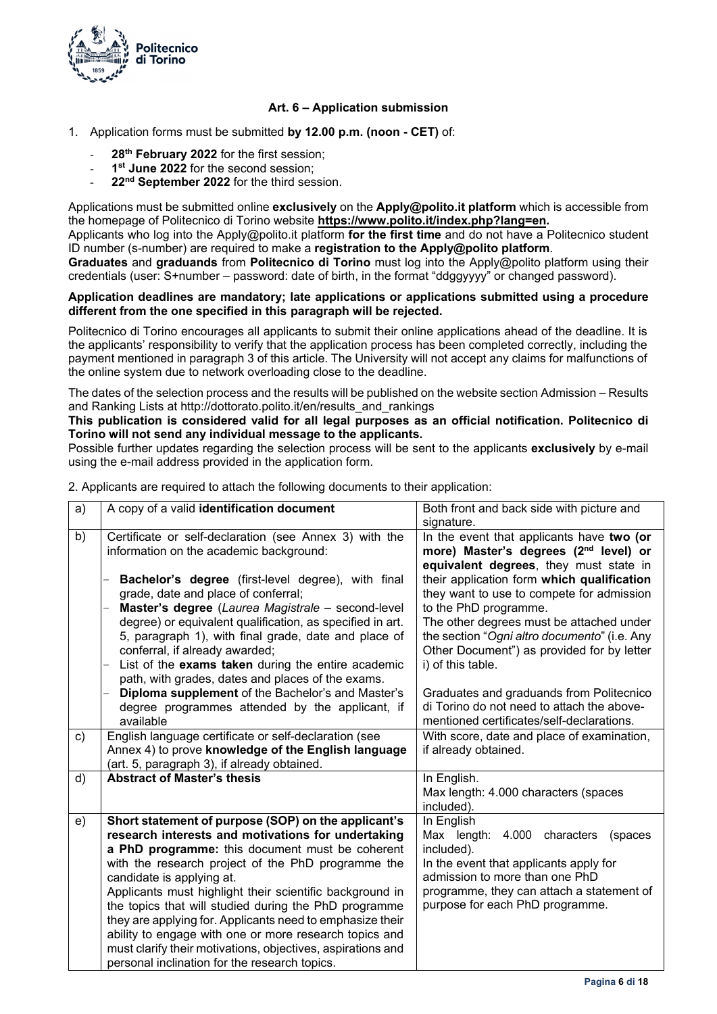

### **Art. 6 – Application submission**

- 1. Application forms must be submitted **by 12.00 p.m. (noon CET)** of:
	- 28<sup>th</sup> February 2022 for the first session;
	- 1<sup>st</sup> June 2022 for the second session:
	- 22<sup>nd</sup> September 2022 for the third session.

Applications must be submitted online **exclusively** on the **Apply@polito.it platform** which is accessible from the homepage of Politecnico di Torino website **https://www.polito.it/index.php?lang=en.** 

Applicants who log into the Apply@polito.it platform **for the first time** and do not have a Politecnico student ID number (s-number) are required to make a **registration to the Apply@polito platform**.

**Graduates** and **graduands** from **Politecnico di Torino** must log into the Apply@polito platform using their credentials (user: S+number – password: date of birth, in the format "ddggyyyy" or changed password).

#### **Application deadlines are mandatory; late applications or applications submitted using a procedure different from the one specified in this paragraph will be rejected.**

Politecnico di Torino encourages all applicants to submit their online applications ahead of the deadline. It is the applicants' responsibility to verify that the application process has been completed correctly, including the payment mentioned in paragraph 3 of this article. The University will not accept any claims for malfunctions of the online system due to network overloading close to the deadline.

The dates of the selection process and the results will be published on the website section Admission – Results and Ranking Lists at http://dottorato.polito.it/en/results\_and\_rankings

### **This publication is considered valid for all legal purposes as an official notification. Politecnico di Torino will not send any individual message to the applicants.**

Possible further updates regarding the selection process will be sent to the applicants **exclusively** by e-mail using the e-mail address provided in the application form.

| a) | A copy of a valid identification document                                                                                                                                                                                                                                                                                                                                                                                                                                                                                                                                                                   | Both front and back side with picture and<br>signature.                                                                                                                                                                                                                         |
|----|-------------------------------------------------------------------------------------------------------------------------------------------------------------------------------------------------------------------------------------------------------------------------------------------------------------------------------------------------------------------------------------------------------------------------------------------------------------------------------------------------------------------------------------------------------------------------------------------------------------|---------------------------------------------------------------------------------------------------------------------------------------------------------------------------------------------------------------------------------------------------------------------------------|
| b) | Certificate or self-declaration (see Annex 3) with the<br>information on the academic background:                                                                                                                                                                                                                                                                                                                                                                                                                                                                                                           | In the event that applicants have two (or<br>more) Master's degrees (2 <sup>nd</sup> level) or<br>equivalent degrees, they must state in                                                                                                                                        |
|    | Bachelor's degree (first-level degree), with final<br>grade, date and place of conferral;<br>Master's degree (Laurea Magistrale - second-level<br>degree) or equivalent qualification, as specified in art.<br>5, paragraph 1), with final grade, date and place of<br>conferral, if already awarded;<br>List of the exams taken during the entire academic<br>path, with grades, dates and places of the exams.                                                                                                                                                                                            | their application form which qualification<br>they want to use to compete for admission<br>to the PhD programme.<br>The other degrees must be attached under<br>the section "Ogni altro documento" (i.e. Any<br>Other Document") as provided for by letter<br>i) of this table. |
|    | Diploma supplement of the Bachelor's and Master's<br>degree programmes attended by the applicant, if<br>available                                                                                                                                                                                                                                                                                                                                                                                                                                                                                           | Graduates and graduands from Politecnico<br>di Torino do not need to attach the above-<br>mentioned certificates/self-declarations.                                                                                                                                             |
| c) | English language certificate or self-declaration (see<br>Annex 4) to prove knowledge of the English language<br>(art. 5, paragraph 3), if already obtained.                                                                                                                                                                                                                                                                                                                                                                                                                                                 | With score, date and place of examination,<br>if already obtained.                                                                                                                                                                                                              |
| d) | <b>Abstract of Master's thesis</b>                                                                                                                                                                                                                                                                                                                                                                                                                                                                                                                                                                          | In English.<br>Max length: 4.000 characters (spaces<br>included).                                                                                                                                                                                                               |
| e) | Short statement of purpose (SOP) on the applicant's<br>research interests and motivations for undertaking<br>a PhD programme: this document must be coherent<br>with the research project of the PhD programme the<br>candidate is applying at.<br>Applicants must highlight their scientific background in<br>the topics that will studied during the PhD programme<br>they are applying for. Applicants need to emphasize their<br>ability to engage with one or more research topics and<br>must clarify their motivations, objectives, aspirations and<br>personal inclination for the research topics. | In English<br>Max length:<br>4.000<br>characters<br>(spaces<br>included).<br>In the event that applicants apply for<br>admission to more than one PhD<br>programme, they can attach a statement of<br>purpose for each PhD programme.                                           |

2. Applicants are required to attach the following documents to their application: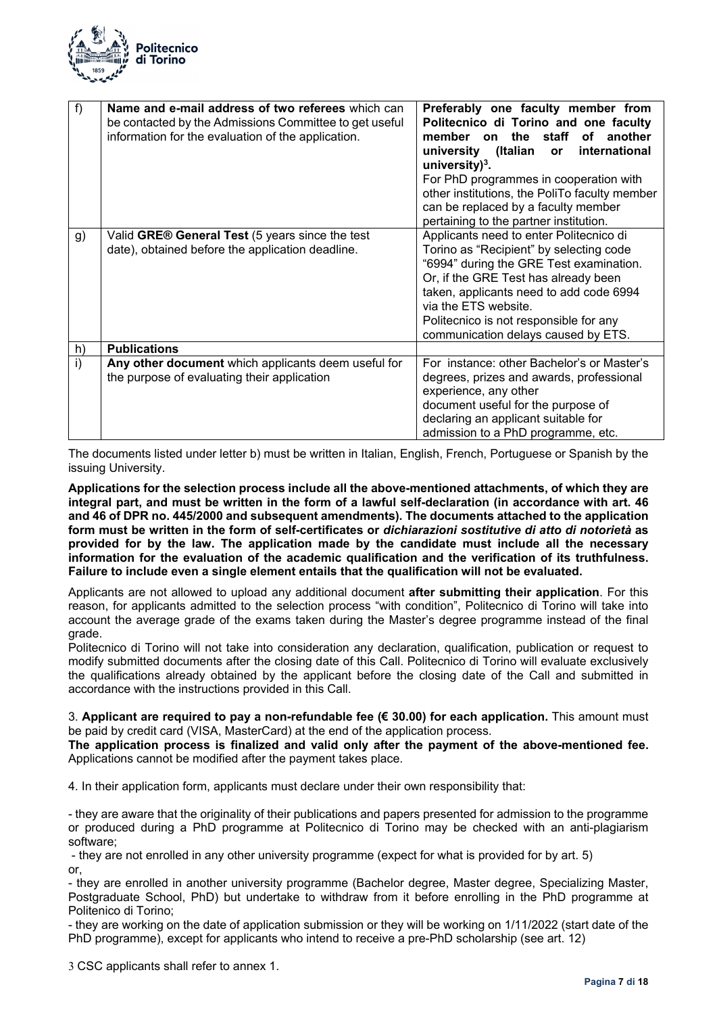

| $f$ )        | Name and e-mail address of two referees which can<br>be contacted by the Admissions Committee to get useful<br>information for the evaluation of the application. | Preferably one faculty member from<br>Politecnico di Torino and one faculty<br>the<br>staff<br>member<br>of<br>another<br>on<br>(Italian<br>international<br>university<br><b>or</b><br>university) $3$ .<br>For PhD programmes in cooperation with<br>other institutions, the PoliTo faculty member<br>can be replaced by a faculty member<br>pertaining to the partner institution. |
|--------------|-------------------------------------------------------------------------------------------------------------------------------------------------------------------|---------------------------------------------------------------------------------------------------------------------------------------------------------------------------------------------------------------------------------------------------------------------------------------------------------------------------------------------------------------------------------------|
| g)           | Valid GRE® General Test (5 years since the test<br>date), obtained before the application deadline.                                                               | Applicants need to enter Politecnico di<br>Torino as "Recipient" by selecting code<br>"6994" during the GRE Test examination.<br>Or, if the GRE Test has already been<br>taken, applicants need to add code 6994<br>via the ETS website.<br>Politecnico is not responsible for any<br>communication delays caused by ETS.                                                             |
| h)           | <b>Publications</b>                                                                                                                                               |                                                                                                                                                                                                                                                                                                                                                                                       |
| $\mathsf{i}$ | Any other document which applicants deem useful for<br>the purpose of evaluating their application                                                                | For instance: other Bachelor's or Master's<br>degrees, prizes and awards, professional<br>experience, any other<br>document useful for the purpose of<br>declaring an applicant suitable for<br>admission to a PhD programme, etc.                                                                                                                                                    |

The documents listed under letter b) must be written in Italian, English, French, Portuguese or Spanish by the issuing University.

**Applications for the selection process include all the above-mentioned attachments, of which they are integral part, and must be written in the form of a lawful self-declaration (in accordance with art. 46 and 46 of DPR no. 445/2000 and subsequent amendments). The documents attached to the application form must be written in the form of self-certificates or** *dichiarazioni sostitutive di atto di notorietà* **as provided for by the law. The application made by the candidate must include all the necessary information for the evaluation of the academic qualification and the verification of its truthfulness. Failure to include even a single element entails that the qualification will not be evaluated.** 

Applicants are not allowed to upload any additional document **after submitting their application**. For this reason, for applicants admitted to the selection process "with condition", Politecnico di Torino will take into account the average grade of the exams taken during the Master's degree programme instead of the final grade.

Politecnico di Torino will not take into consideration any declaration, qualification, publication or request to modify submitted documents after the closing date of this Call. Politecnico di Torino will evaluate exclusively the qualifications already obtained by the applicant before the closing date of the Call and submitted in accordance with the instructions provided in this Call.

3. **Applicant are required to pay a non-refundable fee (€ 30.00) for each application.** This amount must be paid by credit card (VISA, MasterCard) at the end of the application process.

**The application process is finalized and valid only after the payment of the above-mentioned fee.**  Applications cannot be modified after the payment takes place.

4. In their application form, applicants must declare under their own responsibility that:

- they are aware that the originality of their publications and papers presented for admission to the programme or produced during a PhD programme at Politecnico di Torino may be checked with an anti-plagiarism software;

 - they are not enrolled in any other university programme (expect for what is provided for by art. 5) or,

- they are enrolled in another university programme (Bachelor degree, Master degree, Specializing Master, Postgraduate School, PhD) but undertake to withdraw from it before enrolling in the PhD programme at Politenico di Torino;

- they are working on the date of application submission or they will be working on 1/11/2022 (start date of the PhD programme), except for applicants who intend to receive a pre-PhD scholarship (see art. 12)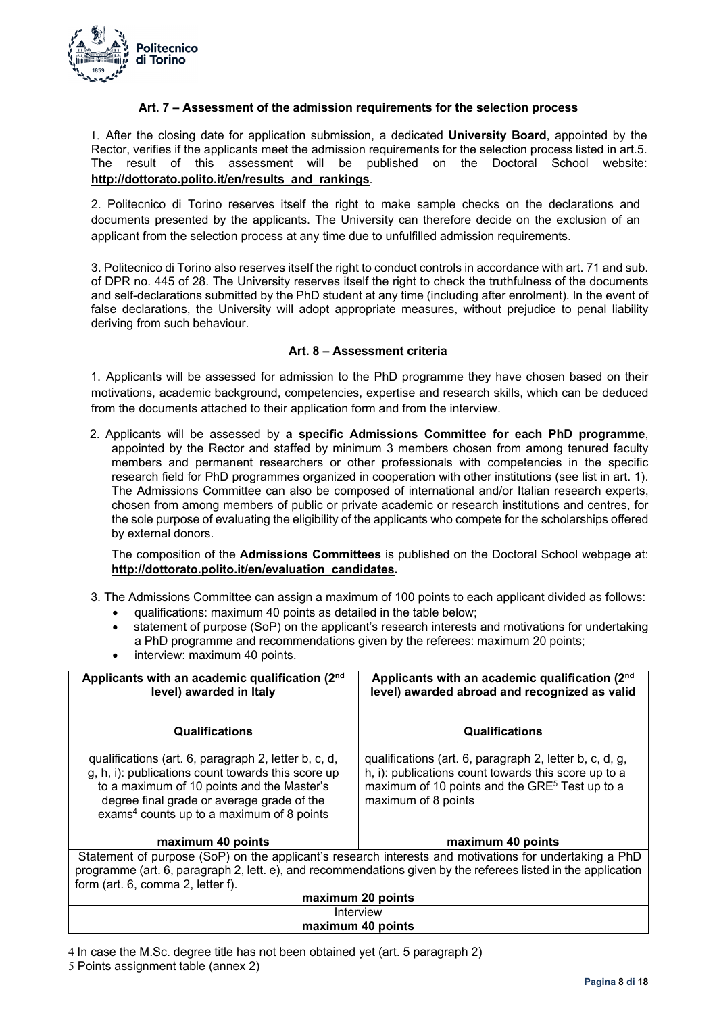

### **Art. 7 – Assessment of the admission requirements for the selection process**

1. After the closing date for application submission, a dedicated **University Board**, appointed by the Rector, verifies if the applicants meet the admission requirements for the selection process listed in art.5. The result of this assessment will be published on the Doctoral School website: **http://dottorato.polito.it/en/results\_and\_rankings**.

2. Politecnico di Torino reserves itself the right to make sample checks on the declarations and documents presented by the applicants. The University can therefore decide on the exclusion of an applicant from the selection process at any time due to unfulfilled admission requirements.

3. Politecnico di Torino also reserves itself the right to conduct controls in accordance with art. 71 and sub. of DPR no. 445 of 28. The University reserves itself the right to check the truthfulness of the documents and self-declarations submitted by the PhD student at any time (including after enrolment). In the event of false declarations, the University will adopt appropriate measures, without prejudice to penal liability deriving from such behaviour.

### **Art. 8 – Assessment criteria**

1. Applicants will be assessed for admission to the PhD programme they have chosen based on their motivations, academic background, competencies, expertise and research skills, which can be deduced from the documents attached to their application form and from the interview.

2. Applicants will be assessed by **a specific Admissions Committee for each PhD programme**, appointed by the Rector and staffed by minimum 3 members chosen from among tenured faculty members and permanent researchers or other professionals with competencies in the specific research field for PhD programmes organized in cooperation with other institutions (see list in art. 1). The Admissions Committee can also be composed of international and/or Italian research experts, chosen from among members of public or private academic or research institutions and centres, for the sole purpose of evaluating the eligibility of the applicants who compete for the scholarships offered by external donors.

The composition of the **Admissions Committees** is published on the Doctoral School webpage at: **http://dottorato.polito.it/en/evaluation\_candidates.**

- 3. The Admissions Committee can assign a maximum of 100 points to each applicant divided as follows:
	- qualifications: maximum 40 points as detailed in the table below;
	- statement of purpose (SoP) on the applicant's research interests and motivations for undertaking a PhD programme and recommendations given by the referees: maximum 20 points;
	- interview: maximum 40 points.

| Applicants with an academic qualification (2nd)<br>level) awarded in Italy                                                                                                                                                                                      | Applicants with an academic qualification (2nd)<br>level) awarded abroad and recognized as valid                                                                                                     |  |  |
|-----------------------------------------------------------------------------------------------------------------------------------------------------------------------------------------------------------------------------------------------------------------|------------------------------------------------------------------------------------------------------------------------------------------------------------------------------------------------------|--|--|
| <b>Qualifications</b>                                                                                                                                                                                                                                           | <b>Qualifications</b>                                                                                                                                                                                |  |  |
| qualifications (art. 6, paragraph 2, letter b, c, d,<br>g, h, i): publications count towards this score up<br>to a maximum of 10 points and the Master's<br>degree final grade or average grade of the<br>exams <sup>4</sup> counts up to a maximum of 8 points | qualifications (art. 6, paragraph 2, letter b, c, d, g,<br>h, i): publications count towards this score up to a<br>maximum of 10 points and the GRE <sup>5</sup> Test up to a<br>maximum of 8 points |  |  |
| maximum 40 points                                                                                                                                                                                                                                               | maximum 40 points                                                                                                                                                                                    |  |  |
| Statement of purpose (SoP) on the applicant's research interests and motivations for undertaking a PhD                                                                                                                                                          |                                                                                                                                                                                                      |  |  |
| programme (art. 6, paragraph 2, lett. e), and recommendations given by the referees listed in the application                                                                                                                                                   |                                                                                                                                                                                                      |  |  |
| form (art. 6, comma 2, letter f).                                                                                                                                                                                                                               |                                                                                                                                                                                                      |  |  |
| maximum 20 points                                                                                                                                                                                                                                               |                                                                                                                                                                                                      |  |  |
| Interview                                                                                                                                                                                                                                                       |                                                                                                                                                                                                      |  |  |

### **maximum 40 points**

4 In case the M.Sc. degree title has not been obtained yet (art. 5 paragraph 2)

5 Points assignment table (annex 2)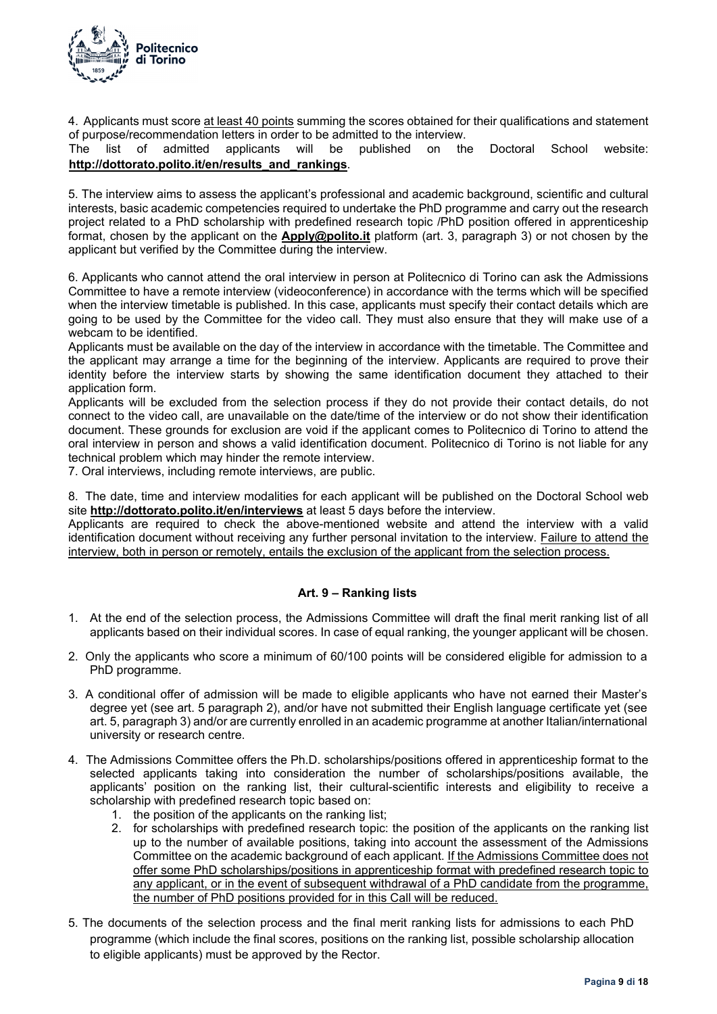

4. Applicants must score at least 40 points summing the scores obtained for their qualifications and statement of purpose/recommendation letters in order to be admitted to the interview.

The list of admitted applicants will be published on the Doctoral School website: **http://dottorato.polito.it/en/results\_and\_rankings**.

5. The interview aims to assess the applicant's professional and academic background, scientific and cultural interests, basic academic competencies required to undertake the PhD programme and carry out the research project related to a PhD scholarship with predefined research topic /PhD position offered in apprenticeship format, chosen by the applicant on the **Apply@polito.it** platform (art. 3, paragraph 3) or not chosen by the applicant but verified by the Committee during the interview.

6. Applicants who cannot attend the oral interview in person at Politecnico di Torino can ask the Admissions Committee to have a remote interview (videoconference) in accordance with the terms which will be specified when the interview timetable is published. In this case, applicants must specify their contact details which are going to be used by the Committee for the video call. They must also ensure that they will make use of a webcam to be identified.

Applicants must be available on the day of the interview in accordance with the timetable. The Committee and the applicant may arrange a time for the beginning of the interview. Applicants are required to prove their identity before the interview starts by showing the same identification document they attached to their application form.

Applicants will be excluded from the selection process if they do not provide their contact details, do not connect to the video call, are unavailable on the date/time of the interview or do not show their identification document. These grounds for exclusion are void if the applicant comes to Politecnico di Torino to attend the oral interview in person and shows a valid identification document. Politecnico di Torino is not liable for any technical problem which may hinder the remote interview.

7. Oral interviews, including remote interviews, are public.

8. The date, time and interview modalities for each applicant will be published on the Doctoral School web site **http://dottorato.polito.it/en/interviews** at least 5 days before the interview.

Applicants are required to check the above-mentioned website and attend the interview with a valid identification document without receiving any further personal invitation to the interview. Failure to attend the interview, both in person or remotely, entails the exclusion of the applicant from the selection process.

### **Art. 9 – Ranking lists**

- 1. At the end of the selection process, the Admissions Committee will draft the final merit ranking list of all applicants based on their individual scores. In case of equal ranking, the younger applicant will be chosen.
- 2. Only the applicants who score a minimum of 60/100 points will be considered eligible for admission to a PhD programme.
- 3. A conditional offer of admission will be made to eligible applicants who have not earned their Master's degree yet (see art. 5 paragraph 2), and/or have not submitted their English language certificate yet (see art. 5, paragraph 3) and/or are currently enrolled in an academic programme at another Italian/international university or research centre.
- 4. The Admissions Committee offers the Ph.D. scholarships/positions offered in apprenticeship format to the selected applicants taking into consideration the number of scholarships/positions available, the applicants' position on the ranking list, their cultural-scientific interests and eligibility to receive a scholarship with predefined research topic based on:
	- 1. the position of the applicants on the ranking list;
	- 2. for scholarships with predefined research topic: the position of the applicants on the ranking list up to the number of available positions, taking into account the assessment of the Admissions Committee on the academic background of each applicant. If the Admissions Committee does not offer some PhD scholarships/positions in apprenticeship format with predefined research topic to any applicant, or in the event of subsequent withdrawal of a PhD candidate from the programme, the number of PhD positions provided for in this Call will be reduced.
- 5. The documents of the selection process and the final merit ranking lists for admissions to each PhD programme (which include the final scores, positions on the ranking list, possible scholarship allocation to eligible applicants) must be approved by the Rector.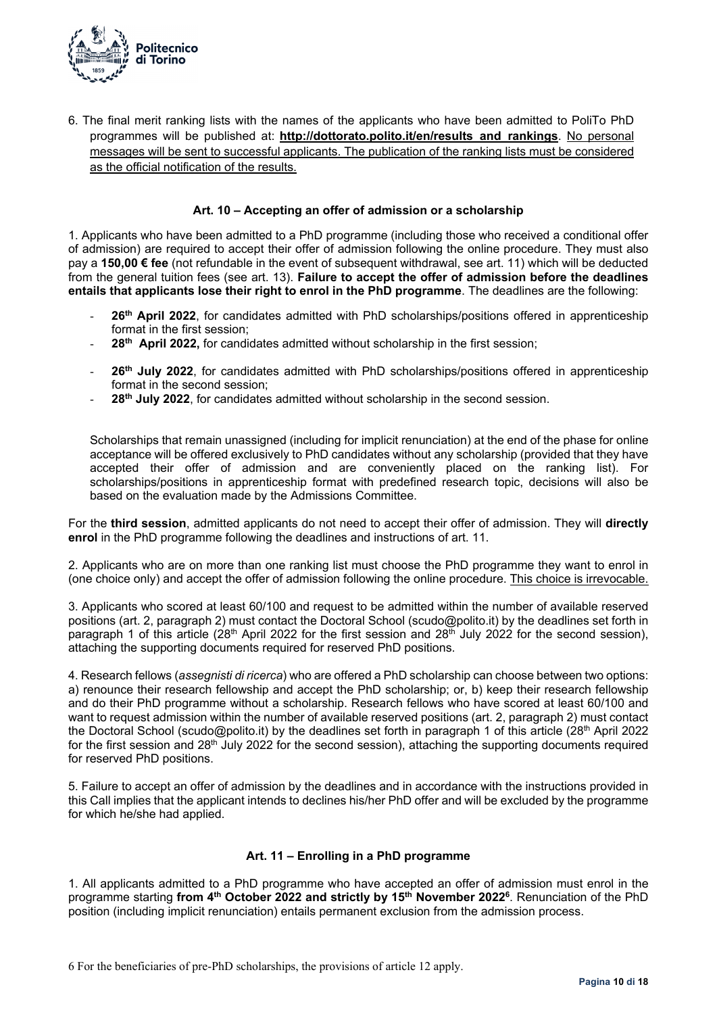

6. The final merit ranking lists with the names of the applicants who have been admitted to PoliTo PhD programmes will be published at: **http://dottorato.polito.it/en/results\_and\_rankings**. No personal messages will be sent to successful applicants. The publication of the ranking lists must be considered as the official notification of the results.

### **Art. 10 – Accepting an offer of admission or a scholarship**

1. Applicants who have been admitted to a PhD programme (including those who received a conditional offer of admission) are required to accept their offer of admission following the online procedure. They must also pay a **150,00 € fee** (not refundable in the event of subsequent withdrawal, see art. 11) which will be deducted from the general tuition fees (see art. 13). **Failure to accept the offer of admission before the deadlines entails that applicants lose their right to enrol in the PhD programme**. The deadlines are the following:

- 26<sup>th</sup> April 2022, for candidates admitted with PhD scholarships/positions offered in apprenticeship format in the first session;
- 28<sup>th</sup> April 2022, for candidates admitted without scholarship in the first session;
- 26<sup>th</sup> July 2022, for candidates admitted with PhD scholarships/positions offered in apprenticeship format in the second session;
- 28<sup>th</sup> July 2022, for candidates admitted without scholarship in the second session.

Scholarships that remain unassigned (including for implicit renunciation) at the end of the phase for online acceptance will be offered exclusively to PhD candidates without any scholarship (provided that they have accepted their offer of admission and are conveniently placed on the ranking list). For scholarships/positions in apprenticeship format with predefined research topic, decisions will also be based on the evaluation made by the Admissions Committee.

For the **third session**, admitted applicants do not need to accept their offer of admission. They will **directly enrol** in the PhD programme following the deadlines and instructions of art. 11.

2. Applicants who are on more than one ranking list must choose the PhD programme they want to enrol in (one choice only) and accept the offer of admission following the online procedure. This choice is irrevocable.

3. Applicants who scored at least 60/100 and request to be admitted within the number of available reserved positions (art. 2, paragraph 2) must contact the Doctoral School (scudo@polito.it) by the deadlines set forth in paragraph 1 of this article (28<sup>th</sup> April 2022 for the first session and 28<sup>th</sup> July 2022 for the second session), attaching the supporting documents required for reserved PhD positions.

4. Research fellows (*assegnisti di ricerca*) who are offered a PhD scholarship can choose between two options: a) renounce their research fellowship and accept the PhD scholarship; or, b) keep their research fellowship and do their PhD programme without a scholarship. Research fellows who have scored at least 60/100 and want to request admission within the number of available reserved positions (art. 2, paragraph 2) must contact the Doctoral School (scudo@polito.it) by the deadlines set forth in paragraph 1 of this article (28<sup>th</sup> April 2022 for the first session and 28<sup>th</sup> July 2022 for the second session), attaching the supporting documents required for reserved PhD positions.

5. Failure to accept an offer of admission by the deadlines and in accordance with the instructions provided in this Call implies that the applicant intends to declines his/her PhD offer and will be excluded by the programme for which he/she had applied.

#### **Art. 11 – Enrolling in a PhD programme**

1. All applicants admitted to a PhD programme who have accepted an offer of admission must enrol in the programme starting **from 4th October 2022 and strictly by 15th November 20226**. Renunciation of the PhD position (including implicit renunciation) entails permanent exclusion from the admission process.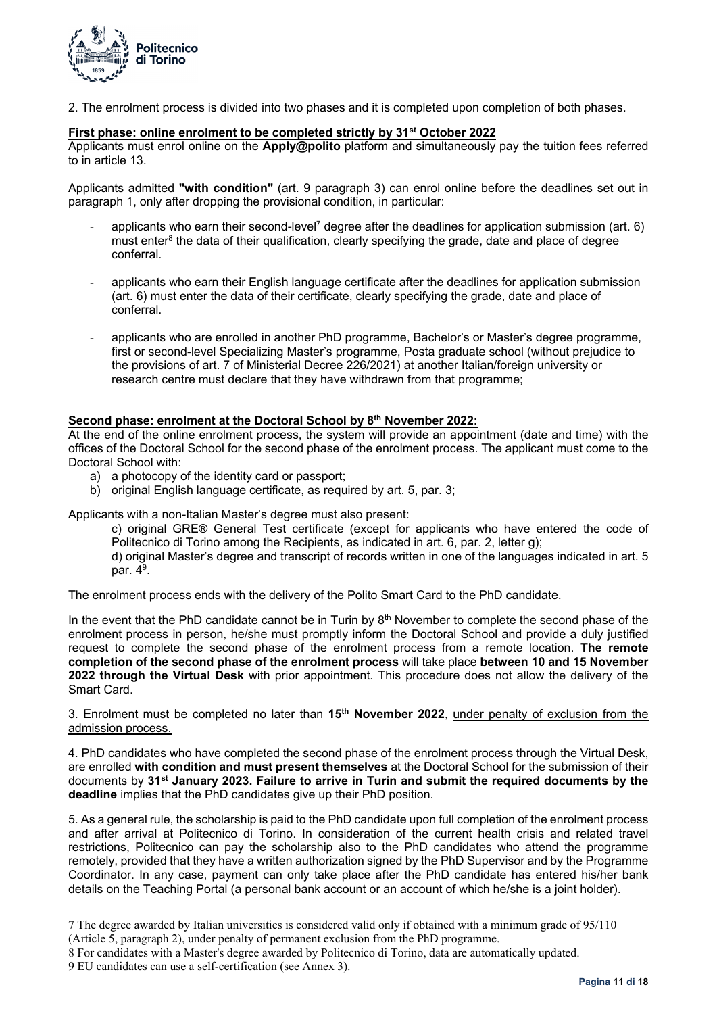

2. The enrolment process is divided into two phases and it is completed upon completion of both phases.

### **First phase: online enrolment to be completed strictly by 31st October 2022**

Applicants must enrol online on the **Apply@polito** platform and simultaneously pay the tuition fees referred to in article 13.

Applicants admitted **"with condition"** (art. 9 paragraph 3) can enrol online before the deadlines set out in paragraph 1, only after dropping the provisional condition, in particular:

- applicants who earn their second-level<sup>7</sup> degree after the deadlines for application submission (art.  $6$ ) must enter<sup>8</sup> the data of their qualification, clearly specifying the grade, date and place of degree conferral.
- applicants who earn their English language certificate after the deadlines for application submission (art. 6) must enter the data of their certificate, clearly specifying the grade, date and place of conferral.
- applicants who are enrolled in another PhD programme, Bachelor's or Master's degree programme, first or second-level Specializing Master's programme, Posta graduate school (without prejudice to the provisions of art. 7 of Ministerial Decree 226/2021) at another Italian/foreign university or research centre must declare that they have withdrawn from that programme;

### Second phase: enrolment at the Doctoral School by 8<sup>th</sup> November 2022:

At the end of the online enrolment process, the system will provide an appointment (date and time) with the offices of the Doctoral School for the second phase of the enrolment process. The applicant must come to the Doctoral School with:

- a) a photocopy of the identity card or passport;
- b) original English language certificate, as required by art. 5, par. 3;

Applicants with a non-Italian Master's degree must also present:

c) original GRE® General Test certificate (except for applicants who have entered the code of Politecnico di Torino among the Recipients, as indicated in art. 6, par. 2, letter g);

d) original Master's degree and transcript of records written in one of the languages indicated in art. 5 par.  $4^9$ .

The enrolment process ends with the delivery of the Polito Smart Card to the PhD candidate.

In the event that the PhD candidate cannot be in Turin by  $8<sup>th</sup>$  November to complete the second phase of the enrolment process in person, he/she must promptly inform the Doctoral School and provide a duly justified request to complete the second phase of the enrolment process from a remote location. **The remote completion of the second phase of the enrolment process** will take place **between 10 and 15 November 2022 through the Virtual Desk** with prior appointment. This procedure does not allow the delivery of the Smart Card.

3. Enrolment must be completed no later than **15th November 2022**, under penalty of exclusion from the admission process.

4. PhD candidates who have completed the second phase of the enrolment process through the Virtual Desk, are enrolled **with condition and must present themselves** at the Doctoral School for the submission of their documents by **31st January 2023. Failure to arrive in Turin and submit the required documents by the deadline** implies that the PhD candidates give up their PhD position.

5. As a general rule, the scholarship is paid to the PhD candidate upon full completion of the enrolment process and after arrival at Politecnico di Torino. In consideration of the current health crisis and related travel restrictions, Politecnico can pay the scholarship also to the PhD candidates who attend the programme remotely, provided that they have a written authorization signed by the PhD Supervisor and by the Programme Coordinator. In any case, payment can only take place after the PhD candidate has entered his/her bank details on the Teaching Portal (a personal bank account or an account of which he/she is a joint holder).

<sup>7</sup> The degree awarded by Italian universities is considered valid only if obtained with a minimum grade of 95/110 (Article 5, paragraph 2), under penalty of permanent exclusion from the PhD programme.

<sup>8</sup> For candidates with a Master's degree awarded by Politecnico di Torino, data are automatically updated.

<sup>9</sup> EU candidates can use a self-certification (see Annex 3).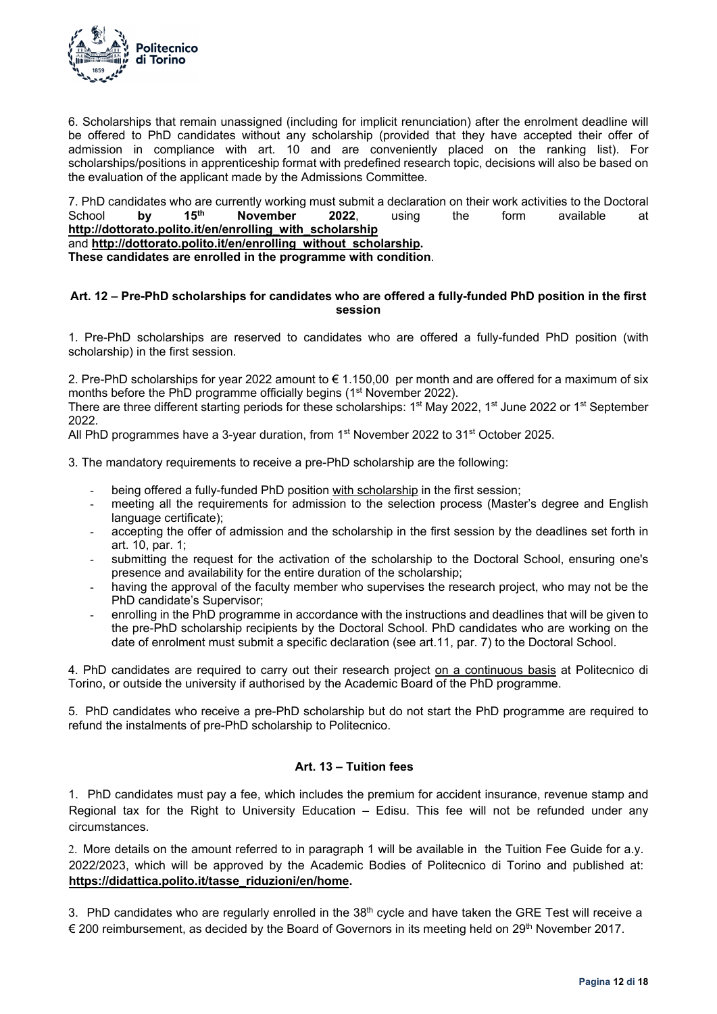

6. Scholarships that remain unassigned (including for implicit renunciation) after the enrolment deadline will be offered to PhD candidates without any scholarship (provided that they have accepted their offer of admission in compliance with art. 10 and are conveniently placed on the ranking list). For scholarships/positions in apprenticeship format with predefined research topic, decisions will also be based on the evaluation of the applicant made by the Admissions Committee.

7. PhD candidates who are currently working must submit a declaration on their work activities to the Doctoral<br>School by 15<sup>th</sup> November 2022, using the form available at School **by 15th November 2022**, using the form available at **http://dottorato.polito.it/en/enrolling\_with\_scholarship**

and **http://dottorato.polito.it/en/enrolling\_without\_scholarship.** 

**These candidates are enrolled in the programme with condition**.

### **Art. 12 – Pre-PhD scholarships for candidates who are offered a fully-funded PhD position in the first session**

1. Pre-PhD scholarships are reserved to candidates who are offered a fully-funded PhD position (with scholarship) in the first session.

2. Pre-PhD scholarships for year 2022 amount to  $\epsilon$  1.150,00 per month and are offered for a maximum of six months before the PhD programme officially begins (1<sup>st</sup> November 2022).

There are three different starting periods for these scholarships: 1<sup>st</sup> May 2022, 1<sup>st</sup> June 2022 or 1<sup>st</sup> September 2022.

All PhD programmes have a 3-year duration, from 1<sup>st</sup> November 2022 to 31<sup>st</sup> October 2025.

3. The mandatory requirements to receive a pre-PhD scholarship are the following:

- being offered a fully-funded PhD position with scholarship in the first session;
- meeting all the requirements for admission to the selection process (Master's degree and English language certificate);
- accepting the offer of admission and the scholarship in the first session by the deadlines set forth in art. 10, par. 1;
- submitting the request for the activation of the scholarship to the Doctoral School, ensuring one's presence and availability for the entire duration of the scholarship;
- having the approval of the faculty member who supervises the research project, who may not be the PhD candidate's Supervisor;
- enrolling in the PhD programme in accordance with the instructions and deadlines that will be given to the pre-PhD scholarship recipients by the Doctoral School. PhD candidates who are working on the date of enrolment must submit a specific declaration (see art.11, par. 7) to the Doctoral School.

4. PhD candidates are required to carry out their research project on a continuous basis at Politecnico di Torino, or outside the university if authorised by the Academic Board of the PhD programme.

5. PhD candidates who receive a pre-PhD scholarship but do not start the PhD programme are required to refund the instalments of pre-PhD scholarship to Politecnico.

### **Art. 13 – Tuition fees**

1. PhD candidates must pay a fee, which includes the premium for accident insurance, revenue stamp and Regional tax for the Right to University Education – Edisu. This fee will not be refunded under any circumstances.

2. More details on the amount referred to in paragraph 1 will be available in the Tuition Fee Guide for a.y. 2022/2023, which will be approved by the Academic Bodies of Politecnico di Torino and published at: **https://didattica.polito.it/tasse\_riduzioni/en/home.**

3. PhD candidates who are regularly enrolled in the 38<sup>th</sup> cycle and have taken the GRE Test will receive a € 200 reimbursement, as decided by the Board of Governors in its meeting held on 29<sup>th</sup> November 2017.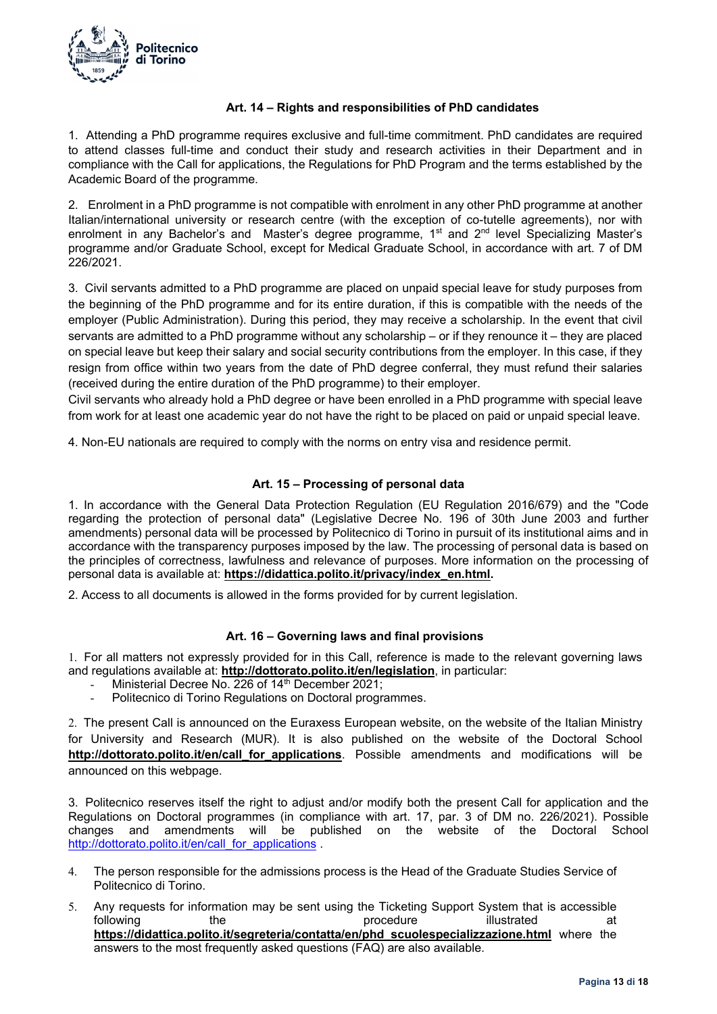

### **Art. 14 – Rights and responsibilities of PhD candidates**

1. Attending a PhD programme requires exclusive and full-time commitment. PhD candidates are required to attend classes full-time and conduct their study and research activities in their Department and in compliance with the Call for applications, the Regulations for PhD Program and the terms established by the Academic Board of the programme.

2. Enrolment in a PhD programme is not compatible with enrolment in any other PhD programme at another Italian/international university or research centre (with the exception of co-tutelle agreements), nor with enrolment in any Bachelor's and Master's degree programme, 1<sup>st</sup> and 2<sup>nd</sup> level Specializing Master's programme and/or Graduate School, except for Medical Graduate School, in accordance with art. 7 of DM 226/2021.

3. Civil servants admitted to a PhD programme are placed on unpaid special leave for study purposes from the beginning of the PhD programme and for its entire duration, if this is compatible with the needs of the employer (Public Administration). During this period, they may receive a scholarship. In the event that civil servants are admitted to a PhD programme without any scholarship – or if they renounce it – they are placed on special leave but keep their salary and social security contributions from the employer. In this case, if they resign from office within two years from the date of PhD degree conferral, they must refund their salaries (received during the entire duration of the PhD programme) to their employer.

Civil servants who already hold a PhD degree or have been enrolled in a PhD programme with special leave from work for at least one academic year do not have the right to be placed on paid or unpaid special leave.

4. Non-EU nationals are required to comply with the norms on entry visa and residence permit.

### **Art. 15 – Processing of personal data**

1. In accordance with the General Data Protection Regulation (EU Regulation 2016/679) and the "Code regarding the protection of personal data" (Legislative Decree No. 196 of 30th June 2003 and further amendments) personal data will be processed by Politecnico di Torino in pursuit of its institutional aims and in accordance with the transparency purposes imposed by the law. The processing of personal data is based on the principles of correctness, lawfulness and relevance of purposes. More information on the processing of personal data is available at: **https://didattica.polito.it/privacy/index\_en.html.** 

2. Access to all documents is allowed in the forms provided for by current legislation.

### **Art. 16 – Governing laws and final provisions**

1. For all matters not expressly provided for in this Call, reference is made to the relevant governing laws and regulations available at: **http://dottorato.polito.it/en/legislation**, in particular:

- Ministerial Decree No. 226 of 14<sup>th</sup> December 2021;
- Politecnico di Torino Regulations on Doctoral programmes.

2. The present Call is announced on the Euraxess European website, on the website of the Italian Ministry for University and Research (MUR). It is also published on the website of the Doctoral School **http://dottorato.polito.it/en/call\_for\_applications**. Possible amendments and modifications will be announced on this webpage.

3. Politecnico reserves itself the right to adjust and/or modify both the present Call for application and the Regulations on Doctoral programmes (in compliance with art. 17, par. 3 of DM no. 226/2021). Possible changes and amendments will be published on the website of the Doctoral School http://dottorato.polito.it/en/call\_for\_applications .

- 4. The person responsible for the admissions process is the Head of the Graduate Studies Service of Politecnico di Torino.
- 5. Any requests for information may be sent using the Ticketing Support System that is accessible following the the procedure illustrated at **https://didattica.polito.it/segreteria/contatta/en/phd\_scuolespecializzazione.html** where the answers to the most frequently asked questions (FAQ) are also available.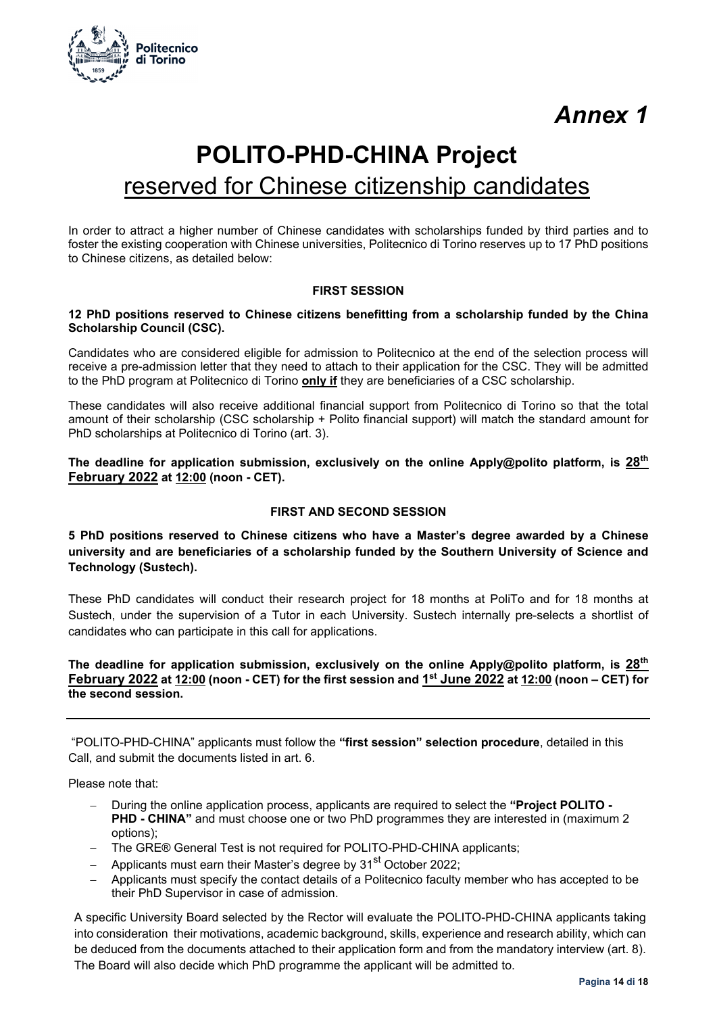

# **POLITO-PHD-CHINA Project**  reserved for Chinese citizenship candidates

In order to attract a higher number of Chinese candidates with scholarships funded by third parties and to foster the existing cooperation with Chinese universities, Politecnico di Torino reserves up to 17 PhD positions to Chinese citizens, as detailed below:

### **FIRST SESSION**

### **12 PhD positions reserved to Chinese citizens benefitting from a scholarship funded by the China Scholarship Council (CSC).**

Candidates who are considered eligible for admission to Politecnico at the end of the selection process will receive a pre-admission letter that they need to attach to their application for the CSC. They will be admitted to the PhD program at Politecnico di Torino **only if** they are beneficiaries of a CSC scholarship.

These candidates will also receive additional financial support from Politecnico di Torino so that the total amount of their scholarship (CSC scholarship + Polito financial support) will match the standard amount for PhD scholarships at Politecnico di Torino (art. 3).

**The deadline for application submission, exclusively on the online Apply@polito platform, is 28th February 2022 at 12:00 (noon - CET).** 

### **FIRST AND SECOND SESSION**

**5 PhD positions reserved to Chinese citizens who have a Master's degree awarded by a Chinese university and are beneficiaries of a scholarship funded by the Southern University of Science and Technology (Sustech).** 

These PhD candidates will conduct their research project for 18 months at PoliTo and for 18 months at Sustech, under the supervision of a Tutor in each University. Sustech internally pre-selects a shortlist of candidates who can participate in this call for applications.

### **The deadline for application submission, exclusively on the online Apply@polito platform, is 28th February 2022 at 12:00 (noon - CET) for the first session and 1st June 2022 at 12:00 (noon – CET) for the second session.**

 "POLITO-PHD-CHINA" applicants must follow the **"first session" selection procedure**, detailed in this Call, and submit the documents listed in art. 6.

Please note that:

- During the online application process, applicants are required to select the **"Project POLITO PHD - CHINA"** and must choose one or two PhD programmes they are interested in (maximum 2 options);
- The GRE® General Test is not required for POLITO-PHD-CHINA applicants;
- Applicants must earn their Master's degree by 31<sup>st</sup> October 2022:
- Applicants must specify the contact details of a Politecnico faculty member who has accepted to be their PhD Supervisor in case of admission.

A specific University Board selected by the Rector will evaluate the POLITO-PHD-CHINA applicants taking into consideration their motivations, academic background, skills, experience and research ability, which can be deduced from the documents attached to their application form and from the mandatory interview (art. 8). The Board will also decide which PhD programme the applicant will be admitted to.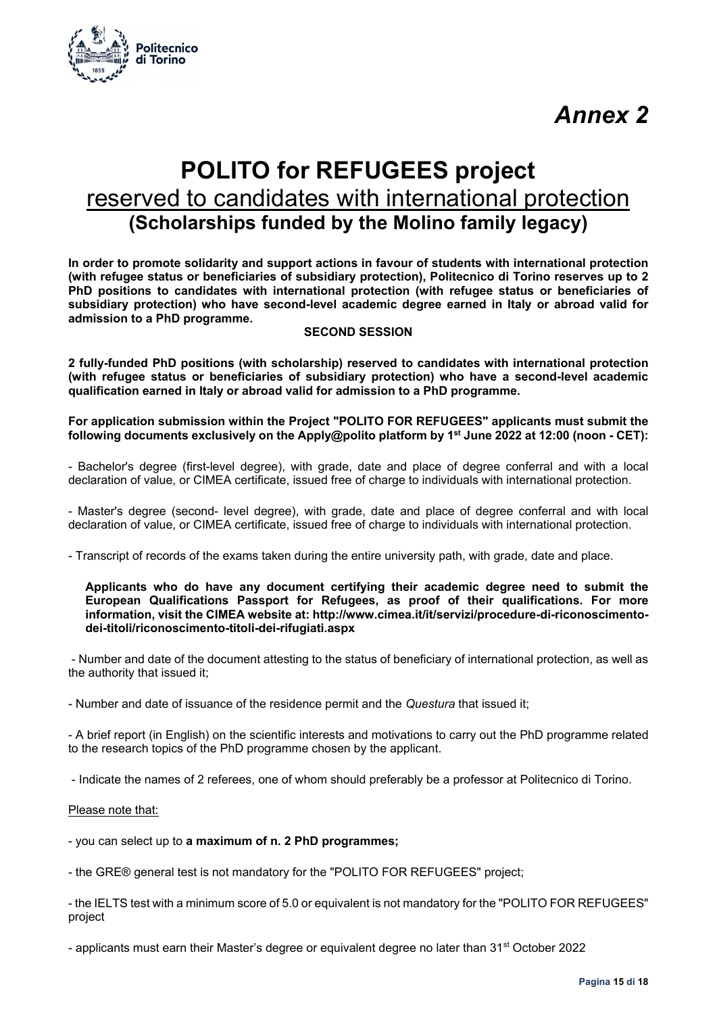

### **POLITO for REFUGEES project**  reserved to candidates with international protection **(Scholarships funded by the Molino family legacy)**

**In order to promote solidarity and support actions in favour of students with international protection (with refugee status or beneficiaries of subsidiary protection), Politecnico di Torino reserves up to 2 PhD positions to candidates with international protection (with refugee status or beneficiaries of subsidiary protection) who have second-level academic degree earned in Italy or abroad valid for admission to a PhD programme.** 

### **SECOND SESSION**

**2 fully-funded PhD positions (with scholarship) reserved to candidates with international protection (with refugee status or beneficiaries of subsidiary protection) who have a second-level academic qualification earned in Italy or abroad valid for admission to a PhD programme.** 

#### **For application submission within the Project "POLITO FOR REFUGEES" applicants must submit the following documents exclusively on the Apply@polito platform by 1st June 2022 at 12:00 (noon - CET):**

- Bachelor's degree (first-level degree), with grade, date and place of degree conferral and with a local declaration of value, or CIMEA certificate, issued free of charge to individuals with international protection.

- Master's degree (second- level degree), with grade, date and place of degree conferral and with local declaration of value, or CIMEA certificate, issued free of charge to individuals with international protection.

- Transcript of records of the exams taken during the entire university path, with grade, date and place.

#### **Applicants who do have any document certifying their academic degree need to submit the European Qualifications Passport for Refugees, as proof of their qualifications. For more information, visit the CIMEA website at: http://www.cimea.it/it/servizi/procedure-di-riconoscimentodei-titoli/riconoscimento-titoli-dei-rifugiati.aspx**

 - Number and date of the document attesting to the status of beneficiary of international protection, as well as the authority that issued it;

- Number and date of issuance of the residence permit and the *Questura* that issued it;

- A brief report (in English) on the scientific interests and motivations to carry out the PhD programme related to the research topics of the PhD programme chosen by the applicant.

- Indicate the names of 2 referees, one of whom should preferably be a professor at Politecnico di Torino.

#### Please note that:

- you can select up to **a maximum of n. 2 PhD programmes;** 

- the GRE® general test is not mandatory for the "POLITO FOR REFUGEES" project;

- the IELTS test with a minimum score of 5.0 or equivalent is not mandatory for the "POLITO FOR REFUGEES" project

- applicants must earn their Master's degree or equivalent degree no later than 31<sup>st</sup> October 2022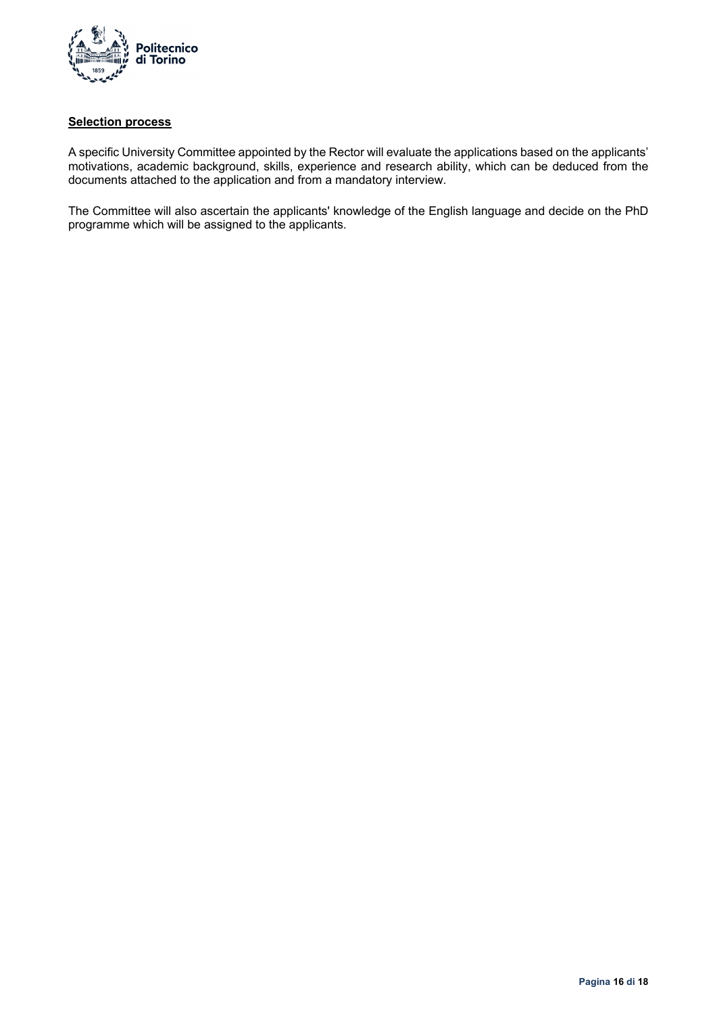

### **Selection process**

A specific University Committee appointed by the Rector will evaluate the applications based on the applicants' motivations, academic background, skills, experience and research ability, which can be deduced from the documents attached to the application and from a mandatory interview.

The Committee will also ascertain the applicants' knowledge of the English language and decide on the PhD programme which will be assigned to the applicants.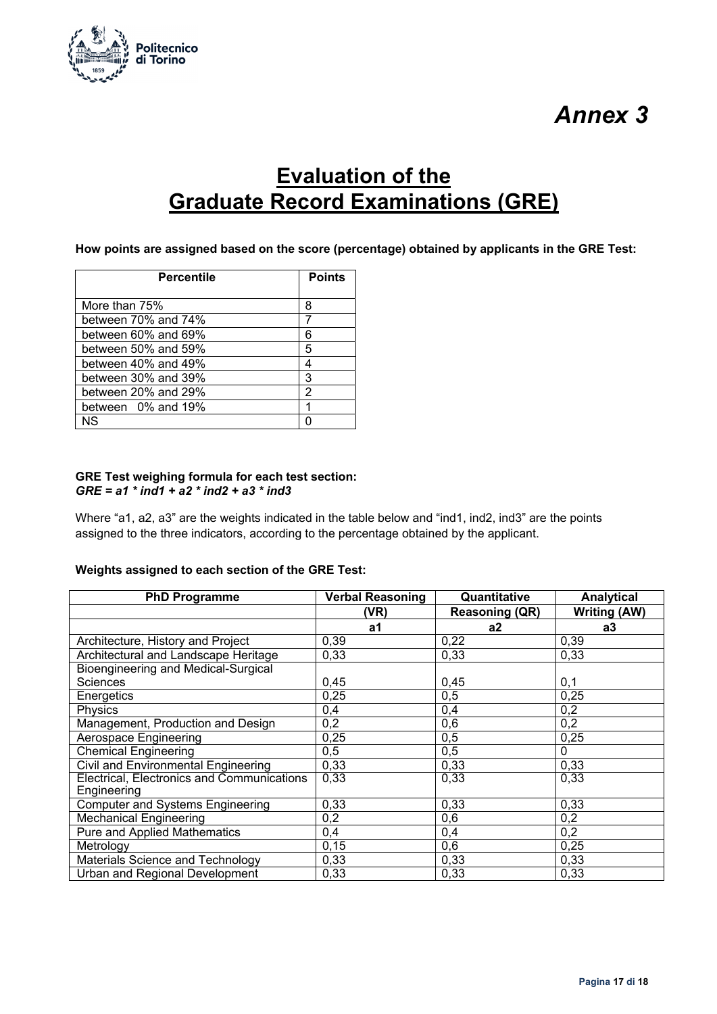

### **Evaluation of the Graduate Record Examinations (GRE)**

**How points are assigned based on the score (percentage) obtained by applicants in the GRE Test:** 

| <b>Percentile</b>   | <b>Points</b> |
|---------------------|---------------|
|                     |               |
| More than 75%       | 8             |
| between 70% and 74% |               |
| between 60% and 69% | 6             |
| between 50% and 59% | 5             |
| between 40% and 49% | 4             |
| between 30% and 39% | 3             |
| between 20% and 29% | 2             |
| between 0% and 19%  |               |
| ΝS                  |               |

### **GRE Test weighing formula for each test section:**  *GRE = a1 \* ind1 + a2 \* ind2 + a3 \* ind3*

Where "a1, a2, a3" are the weights indicated in the table below and "ind1, ind2, ind3" are the points assigned to the three indicators, according to the percentage obtained by the applicant.

### **Weights assigned to each section of the GRE Test:**

| <b>PhD Programme</b>                        | <b>Verbal Reasoning</b> | Quantitative          | <b>Analytical</b> |
|---------------------------------------------|-------------------------|-----------------------|-------------------|
|                                             | (VR)                    | <b>Reasoning (QR)</b> | Writing (AW)      |
|                                             | a1                      | a2                    | a3                |
| Architecture, History and Project           | 0,39                    | 0,22                  | 0,39              |
| <b>Architectural and Landscape Heritage</b> | 0,33                    | 0,33                  | 0,33              |
| <b>Bioengineering and Medical-Surgical</b>  |                         |                       |                   |
| <b>Sciences</b>                             | 0,45                    | 0,45                  | 0,1               |
| Energetics                                  | 0,25                    | 0,5                   | 0,25              |
| Physics                                     | 0,4                     | 0,4                   | 0,2               |
| Management, Production and Design           | 0,2                     | 0,6                   | 0,2               |
| <b>Aerospace Engineering</b>                | 0,25                    | 0,5                   | 0,25              |
| <b>Chemical Engineering</b>                 | 0,5                     | 0,5                   | $\Omega$          |
| <b>Civil and Environmental Engineering</b>  | 0,33                    | 0,33                  | 0,33              |
| Electrical, Electronics and Communications  | 0,33                    | 0,33                  | 0,33              |
| Engineering                                 |                         |                       |                   |
| <b>Computer and Systems Engineering</b>     | 0,33                    | 0,33                  | 0,33              |
| <b>Mechanical Engineering</b>               | 0,2                     | 0,6                   | 0,2               |
| Pure and Applied Mathematics                | 0,4                     | 0,4                   | 0,2               |
| Metrology                                   | 0, 15                   | 0,6                   | 0,25              |
| Materials Science and Technology            | 0,33                    | 0,33                  | 0,33              |
| Urban and Regional Development              | 0,33                    | 0,33                  | 0,33              |